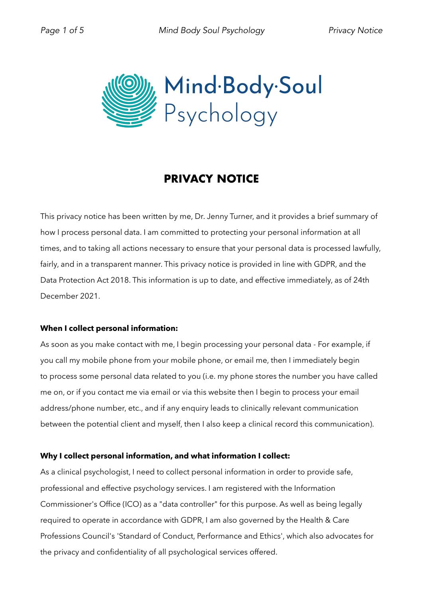

# **PRIVACY NOTICE**

This privacy notice has been written by me, Dr. Jenny Turner, and it provides a brief summary of how I process personal data. I am committed to protecting your personal information at all times, and to taking all actions necessary to ensure that your personal data is processed lawfully, fairly, and in a transparent manner. This privacy notice is provided in line with GDPR, and the Data Protection Act 2018. This information is up to date, and effective immediately, as of 24th December 2021.

# **When I collect personal information:**

As soon as you make contact with me, I begin processing your personal data - For example, if you call my mobile phone from your mobile phone, or email me, then I immediately begin to process some personal data related to you (i.e. my phone stores the number you have called me on, or if you contact me via email or via this website then I begin to process your email address/phone number, etc., and if any enquiry leads to clinically relevant communication between the potential client and myself, then I also keep a clinical record this communication).

# **Why I collect personal information, and what information I collect:**

As a clinical psychologist, I need to collect personal information in order to provide safe, professional and effective psychology services. I am registered with the Information Commissioner's Office (ICO) as a "data controller" for this purpose. As well as being legally required to operate in accordance with GDPR, I am also governed by the Health & Care Professions Council's 'Standard of Conduct, Performance and Ethics', which also advocates for the privacy and confidentiality of all psychological services offered.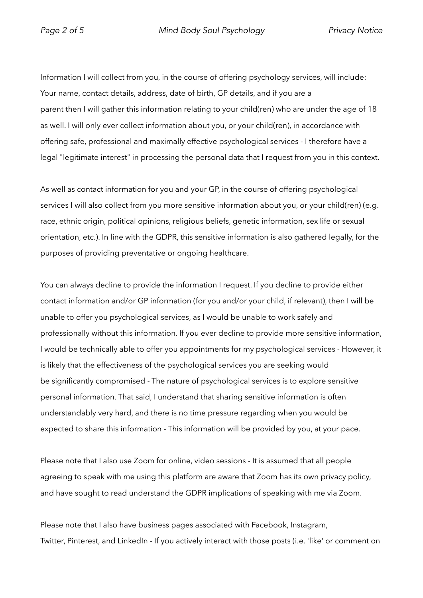Information I will collect from you, in the course of offering psychology services, will include: Your name, contact details, address, date of birth, GP details, and if you are a parent then I will gather this information relating to your child(ren) who are under the age of 18 as well. I will only ever collect information about you, or your child(ren), in accordance with offering safe, professional and maximally effective psychological services - I therefore have a legal "legitimate interest" in processing the personal data that I request from you in this context.

As well as contact information for you and your GP, in the course of offering psychological services I will also collect from you more sensitive information about you, or your child(ren) (e.g. race, ethnic origin, political opinions, religious beliefs, genetic information, sex life or sexual orientation, etc.). In line with the GDPR, this sensitive information is also gathered legally, for the purposes of providing preventative or ongoing healthcare.

You can always decline to provide the information I request. If you decline to provide either contact information and/or GP information (for you and/or your child, if relevant), then I will be unable to offer you psychological services, as I would be unable to work safely and professionally without this information. If you ever decline to provide more sensitive information, I would be technically able to offer you appointments for my psychological services - However, it is likely that the effectiveness of the psychological services you are seeking would be significantly compromised - The nature of psychological services is to explore sensitive personal information. That said, I understand that sharing sensitive information is often understandably very hard, and there is no time pressure regarding when you would be expected to share this information - This information will be provided by you, at your pace.

Please note that I also use Zoom for online, video sessions - It is assumed that all people agreeing to speak with me using this platform are aware that Zoom has its own privacy policy, and have sought to read understand the GDPR implications of speaking with me via Zoom.

Please note that I also have business pages associated with Facebook, Instagram, Twitter, Pinterest, and LinkedIn - If you actively interact with those posts (i.e. 'like' or comment on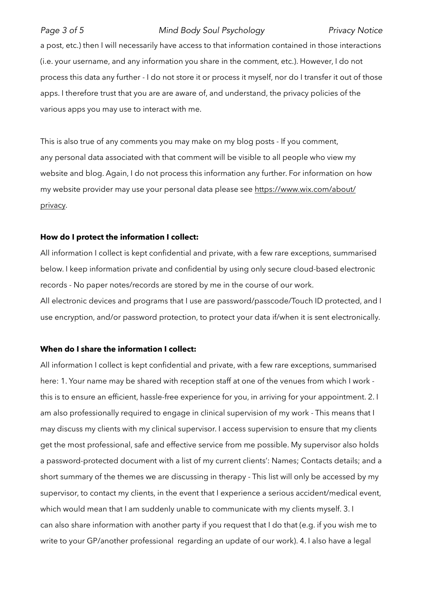### *Page 3 of 5 Mind Body Soul Psychology Privacy Notice*

a post, etc.) then I will necessarily have access to that information contained in those interactions (i.e. your username, and any information you share in the comment, etc.). However, I do not process this data any further - I do not store it or process it myself, nor do I transfer it out of those apps. I therefore trust that you are are aware of, and understand, the privacy policies of the various apps you may use to interact with me.

This is also true of any comments you may make on my blog posts - If you comment, any personal data associated with that comment will be visible to all people who view my website and blog. Again, I do not process this information any further. For information on how my website provider may use your personal data please see https://www.wix.com/about/ privacy.

### **How do I protect the information I collect:**

All information I collect is kept confidential and private, with a few rare exceptions, summarised below. I keep information private and confidential by using only secure cloud-based electronic records - No paper notes/records are stored by me in the course of our work. All electronic devices and programs that I use are password/passcode/Touch ID protected, and I use encryption, and/or password protection, to protect your data if/when it is sent electronically.

### **When do I share the information I collect:**

All information I collect is kept confidential and private, with a few rare exceptions, summarised here: 1. Your name may be shared with reception staff at one of the venues from which I work this is to ensure an efficient, hassle-free experience for you, in arriving for your appointment. 2. I am also professionally required to engage in clinical supervision of my work - This means that I may discuss my clients with my clinical supervisor. I access supervision to ensure that my clients get the most professional, safe and effective service from me possible. My supervisor also holds a password-protected document with a list of my current clients': Names; Contacts details; and a short summary of the themes we are discussing in therapy - This list will only be accessed by my supervisor, to contact my clients, in the event that I experience a serious accident/medical event, which would mean that I am suddenly unable to communicate with my clients myself. 3. I can also share information with another party if you request that I do that (e.g. if you wish me to write to your GP/another professional regarding an update of our work). 4. I also have a legal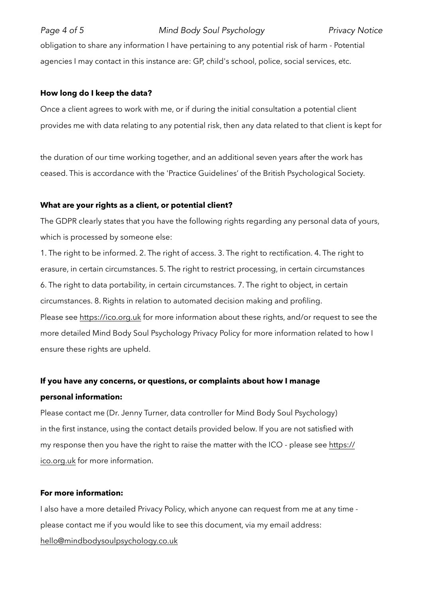obligation to share any information I have pertaining to any potential risk of harm - Potential agencies I may contact in this instance are: GP, child's school, police, social services, etc.

# **How long do I keep the data?**

Once a client agrees to work with me, or if during the initial consultation a potential client provides me with data relating to any potential risk, then any data related to that client is kept for

the duration of our time working together, and an additional seven years after the work has ceased. This is accordance with the 'Practice Guidelines' of the British Psychological Society.

# **What are your rights as a client, or potential client?**

The GDPR clearly states that you have the following rights regarding any personal data of yours, which is processed by someone else:

1. The right to be informed. 2. The right of access. 3. The right to rectification. 4. The right to erasure, in certain circumstances. 5. The right to restrict processing, in certain circumstances 6. The right to data portability, in certain circumstances. 7. The right to object, in certain circumstances. 8. Rights in relation to automated decision making and profiling. Please see https://ico.org.uk for more information about these rights, and/or request to see the more detailed Mind Body Soul Psychology Privacy Policy for more information related to how I ensure these rights are upheld.

# **If you have any concerns, or questions, or complaints about how I manage personal information:**

Please contact me (Dr. Jenny Turner, data controller for Mind Body Soul Psychology) in the first instance, using the contact details provided below. If you are not satisfied with my response then you have the right to raise the matter with the ICO - please see https:// ico.org.uk for more information.

# **For more information:**

I also have a more detailed Privacy Policy, which anyone can request from me at any time please contact me if you would like to see this document, via my email address: [hello@mindbodysoulpsychology.co.uk](mailto:hello@mindbodysoulpsychology.co.uk)